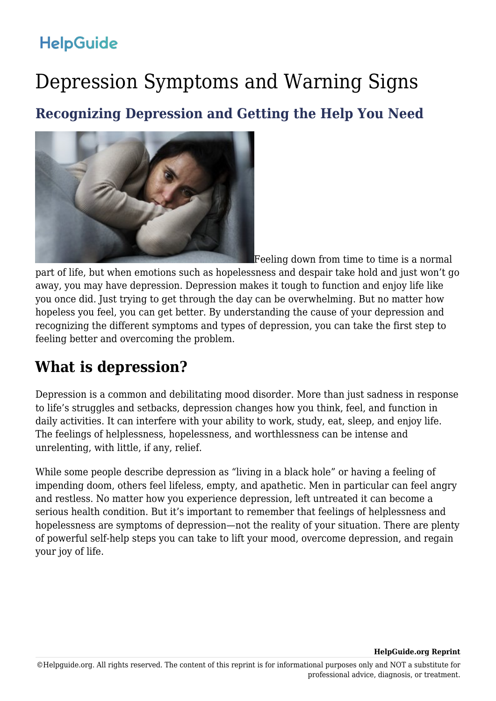# Depression Symptoms and Warning Signs

**Recognizing Depression and Getting the Help You Need**



Feeling down from time to time is a normal part of life, but when emotions such as hopelessness and despair take hold and just won't go away, you may have depression. Depression makes it tough to function and enjoy life like you once did. Just trying to get through the day can be overwhelming. But no matter how hopeless you feel, you can get better. By understanding the cause of your depression and recognizing the different symptoms and types of depression, you can take the first step to feeling better and overcoming the problem.

## **What is depression?**

Depression is a common and debilitating mood disorder. More than just sadness in response to life's struggles and setbacks, depression changes how you think, feel, and function in daily activities. It can interfere with your ability to work, study, eat, sleep, and enjoy life. The feelings of helplessness, hopelessness, and worthlessness can be intense and unrelenting, with little, if any, relief.

While some people describe depression as "living in a black hole" or having a feeling of impending doom, others feel lifeless, empty, and apathetic. Men in particular can feel angry and restless. No matter how you experience depression, left untreated it can become a serious health condition. But it's important to remember that feelings of helplessness and hopelessness are symptoms of depression—not the reality of your situation. There are plenty of powerful self-help steps you can take to lift your mood, overcome depression, and regain your joy of life.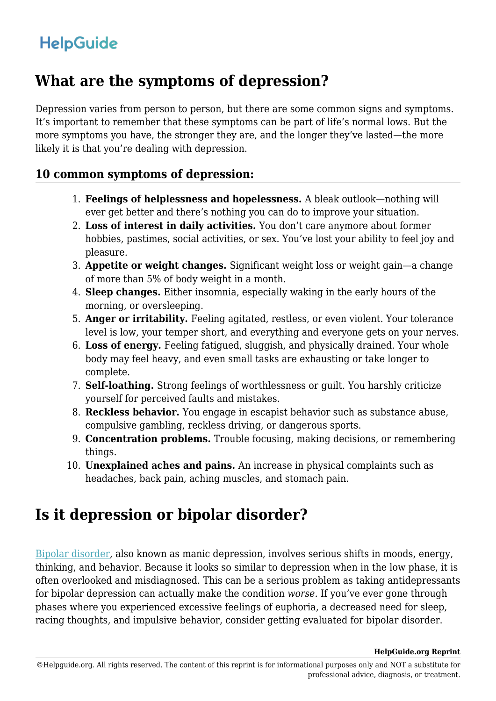### **What are the symptoms of depression?**

Depression varies from person to person, but there are some common signs and symptoms. It's important to remember that these symptoms can be part of life's normal lows. But the more symptoms you have, the stronger they are, and the longer they've lasted—the more likely it is that you're dealing with depression.

#### **10 common symptoms of depression:**

- 1. **Feelings of helplessness and hopelessness.** A bleak outlook—nothing will ever get better and there's nothing you can do to improve your situation.
- 2. **Loss of interest in daily activities.** You don't care anymore about former hobbies, pastimes, social activities, or sex. You've lost your ability to feel joy and pleasure.
- 3. **Appetite or weight changes.** Significant weight loss or weight gain—a change of more than 5% of body weight in a month.
- 4. **Sleep changes.** Either insomnia, especially waking in the early hours of the morning, or oversleeping.
- 5. **Anger or irritability.** Feeling agitated, restless, or even violent. Your tolerance level is low, your temper short, and everything and everyone gets on your nerves.
- 6. **Loss of energy.** Feeling fatigued, sluggish, and physically drained. Your whole body may feel heavy, and even small tasks are exhausting or take longer to complete.
- 7. **Self-loathing.** Strong feelings of worthlessness or guilt. You harshly criticize yourself for perceived faults and mistakes.
- 8. **Reckless behavior.** You engage in escapist behavior such as substance abuse, compulsive gambling, reckless driving, or dangerous sports.
- 9. **Concentration problems.** Trouble focusing, making decisions, or remembering things.
- 10. **Unexplained aches and pains.** An increase in physical complaints such as headaches, back pain, aching muscles, and stomach pain.

## **Is it depression or bipolar disorder?**

[Bipolar disorder,](https://www.helpguide.org/articles/bipolar-disorder/bipolar-disorder-signs-and-symptoms.htm) also known as manic depression, involves serious shifts in moods, energy, thinking, and behavior. Because it looks so similar to depression when in the low phase, it is often overlooked and misdiagnosed. This can be a serious problem as taking antidepressants for bipolar depression can actually make the condition *worse*. If you've ever gone through phases where you experienced excessive feelings of euphoria, a decreased need for sleep, racing thoughts, and impulsive behavior, consider getting evaluated for bipolar disorder.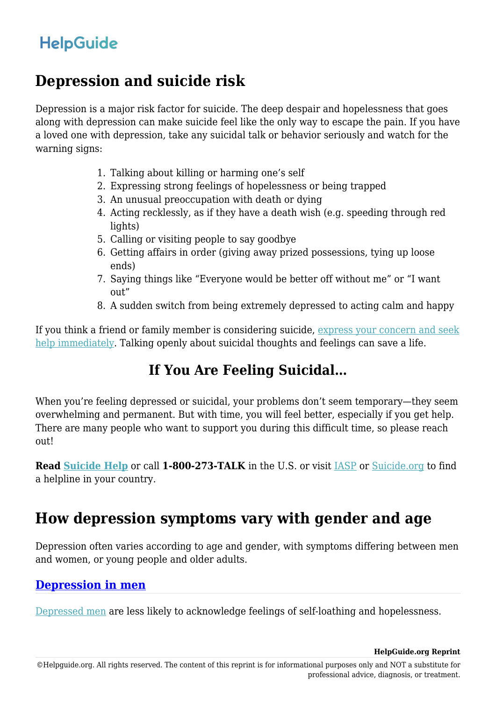### **Depression and suicide risk**

Depression is a major risk factor for suicide. The deep despair and hopelessness that goes along with depression can make suicide feel like the only way to escape the pain. If you have a loved one with depression, take any suicidal talk or behavior seriously and watch for the warning signs:

- 1. Talking about killing or harming one's self
- 2. Expressing strong feelings of hopelessness or being trapped
- 3. An unusual preoccupation with death or dying
- 4. Acting recklessly, as if they have a death wish (e.g. speeding through red lights)
- 5. Calling or visiting people to say goodbye
- 6. Getting affairs in order (giving away prized possessions, tying up loose ends)
- 7. Saying things like "Everyone would be better off without me" or "I want out"
- 8. A sudden switch from being extremely depressed to acting calm and happy

If you think a friend or family member is considering suicide, [express your concern and seek](https://www.helpguide.org/articles/suicide-prevention/suicide-prevention.htm) [help immediately](https://www.helpguide.org/articles/suicide-prevention/suicide-prevention.htm). Talking openly about suicidal thoughts and feelings can save a life.

### **If You Are Feeling Suicidal…**

When you're feeling depressed or suicidal, your problems don't seem temporary—they seem overwhelming and permanent. But with time, you will feel better, especially if you get help. There are many people who want to support you during this difficult time, so please reach out!

**Read [Suicide Help](https://www.helpguide.org/articles/suicide-prevention/are-you-feeling-suicidal.htm)** or call **1-800-273-TALK** in the U.S. or visit [IASP](http://www.iasp.info/resources/Crisis_Centres/) or [Suicide.org](http://www.suicide.org/international-suicide-hotlines.html) to find a helpline in your country.

### **How depression symptoms vary with gender and age**

Depression often varies according to age and gender, with symptoms differing between men and women, or young people and older adults.

#### **[Depression in men](https://www.helpguide.org/articles/depression/depression-in-men.htm)**

[Depressed men](https://www.helpguide.org/articles/depression/depression-in-men.htm) are less likely to acknowledge feelings of self-loathing and hopelessness.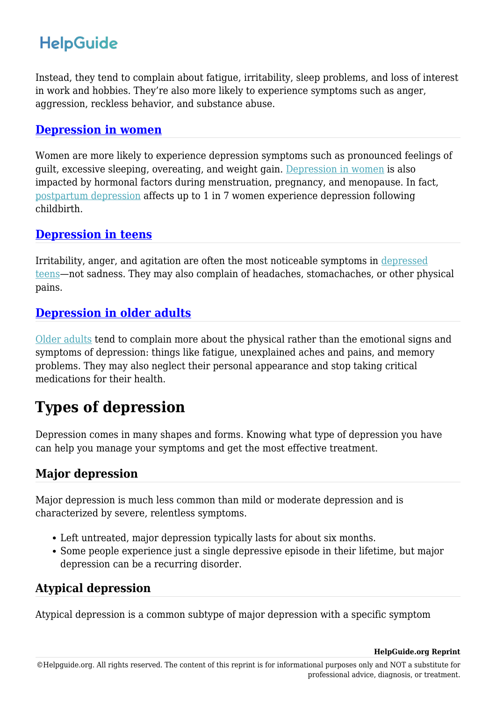Instead, they tend to complain about fatigue, irritability, sleep problems, and loss of interest in work and hobbies. They're also more likely to experience symptoms such as anger, aggression, reckless behavior, and substance abuse.

#### **[Depression in women](https://www.helpguide.org/articles/depression/depression-in-women.htm)**

Women are more likely to experience depression symptoms such as pronounced feelings of guilt, excessive sleeping, overeating, and weight gain. [Depression in women](https://www.helpguide.org/articles/depression/depression-in-women.htm) is also impacted by hormonal factors during menstruation, pregnancy, and menopause. In fact, [postpartum depression](https://www.helpguide.org/articles/depression/postpartum-depression-and-the-baby-blues.htm) affects up to 1 in 7 women experience depression following childbirth.

#### **[Depression in teens](https://www.helpguide.org/articles/depression/parents-guide-to-teen-depression.htm)**

Irritability, anger, and agitation are often the most noticeable symptoms in [depressed](https://www.helpguide.org/articles/depression/parents-guide-to-teen-depression.htm) [teens](https://www.helpguide.org/articles/depression/parents-guide-to-teen-depression.htm)—not sadness. They may also complain of headaches, stomachaches, or other physical pains.

#### **[Depression in older adults](https://www.helpguide.org/articles/depression/depression-in-older-adults.htm)**

[Older adults](https://www.helpguide.org/articles/depression/depression-in-older-adults.htm) tend to complain more about the physical rather than the emotional signs and symptoms of depression: things like fatigue, unexplained aches and pains, and memory problems. They may also neglect their personal appearance and stop taking critical medications for their health.

## **Types of depression**

Depression comes in many shapes and forms. Knowing what type of depression you have can help you manage your symptoms and get the most effective treatment.

### **Major depression**

Major depression is much less common than mild or moderate depression and is characterized by severe, relentless symptoms.

- Left untreated, major depression typically lasts for about six months.
- Some people experience just a single depressive episode in their lifetime, but major depression can be a recurring disorder.

#### **Atypical depression**

Atypical depression is a common subtype of major depression with a specific symptom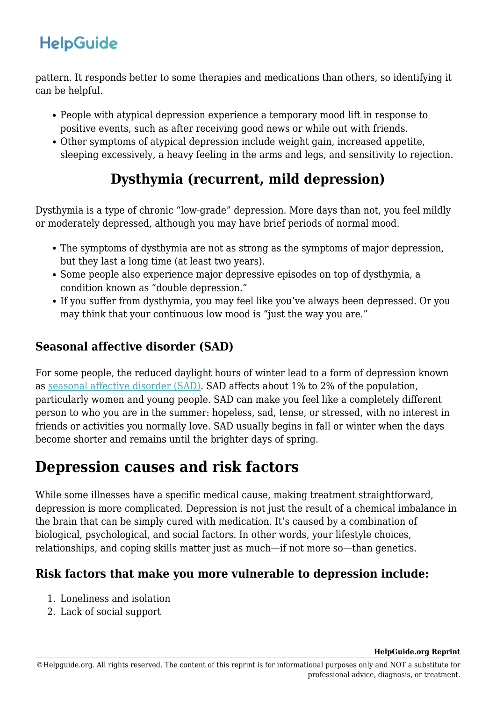pattern. It responds better to some therapies and medications than others, so identifying it can be helpful.

- People with atypical depression experience a temporary mood lift in response to positive events, such as after receiving good news or while out with friends.
- Other symptoms of atypical depression include weight gain, increased appetite, sleeping excessively, a heavy feeling in the arms and legs, and sensitivity to rejection.

### **Dysthymia (recurrent, mild depression)**

Dysthymia is a type of chronic "low-grade" depression. More days than not, you feel mildly or moderately depressed, although you may have brief periods of normal mood.

- The symptoms of dysthymia are not as strong as the symptoms of major depression, but they last a long time (at least two years).
- Some people also experience major depressive episodes on top of dysthymia, a condition known as "double depression."
- If you suffer from dysthymia, you may feel like you've always been depressed. Or you may think that your continuous low mood is "just the way you are."

### **Seasonal affective disorder (SAD)**

For some people, the reduced daylight hours of winter lead to a form of depression known as [seasonal affective disorder \(SAD\).](https://www.helpguide.org/articles/depression/seasonal-affective-disorder-sad.htm) SAD affects about 1% to 2% of the population, particularly women and young people. SAD can make you feel like a completely different person to who you are in the summer: hopeless, sad, tense, or stressed, with no interest in friends or activities you normally love. SAD usually begins in fall or winter when the days become shorter and remains until the brighter days of spring.

## **Depression causes and risk factors**

While some illnesses have a specific medical cause, making treatment straightforward, depression is more complicated. Depression is not just the result of a chemical imbalance in the brain that can be simply cured with medication. It's caused by a combination of biological, psychological, and social factors. In other words, your lifestyle choices, relationships, and coping skills matter just as much—if not more so—than genetics.

#### **Risk factors that make you more vulnerable to depression include:**

- 1. Loneliness and isolation
- 2. Lack of social support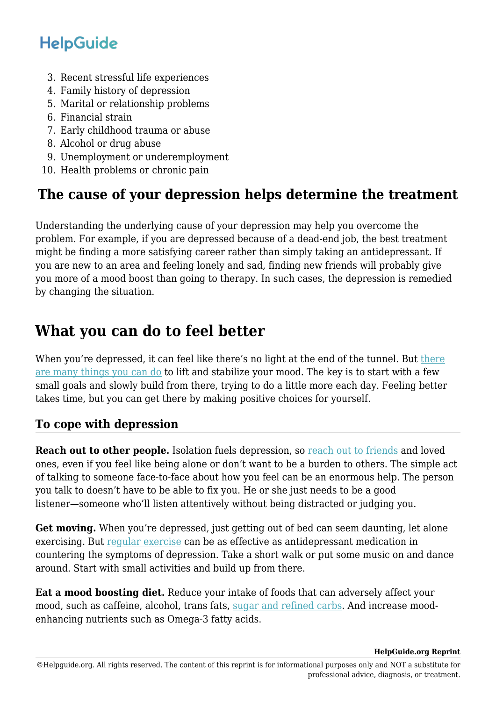- 3. Recent stressful life experiences
- 4. Family history of depression
- 5. Marital or relationship problems
- 6. Financial strain
- 7. Early childhood trauma or abuse
- 8. Alcohol or drug abuse
- 9. Unemployment or underemployment
- 10. Health problems or chronic pain

### **The cause of your depression helps determine the treatment**

Understanding the underlying cause of your depression may help you overcome the problem. For example, if you are depressed because of a dead-end job, the best treatment might be finding a more satisfying career rather than simply taking an antidepressant. If you are new to an area and feeling lonely and sad, finding new friends will probably give you more of a mood boost than going to therapy. In such cases, the depression is remedied by changing the situation.

## **What you can do to feel better**

When you're depressed, it can feel like [there](https://www.helpguide.org/articles/depression/coping-with-depression.htm)'s no light at the end of the tunnel. But there [are many things you can do](https://www.helpguide.org/articles/depression/coping-with-depression.htm) to lift and stabilize your mood. The key is to start with a few small goals and slowly build from there, trying to do a little more each day. Feeling better takes time, but you can get there by making positive choices for yourself.

### **To cope with depression**

**Reach out to other people.** Isolation fuels depression, so [reach out to friends](https://www.helpguide.org/articles/relationships-communication/making-good-friends.htm) and loved ones, even if you feel like being alone or don't want to be a burden to others. The simple act of talking to someone face-to-face about how you feel can be an enormous help. The person you talk to doesn't have to be able to fix you. He or she just needs to be a good listener—someone who'll listen attentively without being distracted or judging you.

Get moving. When you're depressed, just getting out of bed can seem daunting, let alone exercising. But [regular exercise](https://www.helpguide.org/articles/healthy-living/the-mental-health-benefits-of-exercise.htm) can be as effective as antidepressant medication in countering the symptoms of depression. Take a short walk or put some music on and dance around. Start with small activities and build up from there.

**Eat a mood boosting diet.** Reduce your intake of foods that can adversely affect your mood, such as caffeine, alcohol, trans fats, [sugar and refined carbs.](https://www.helpguide.org/articles/healthy-eating/choosing-healthy-carbs.htm) And increase moodenhancing nutrients such as Omega-3 fatty acids.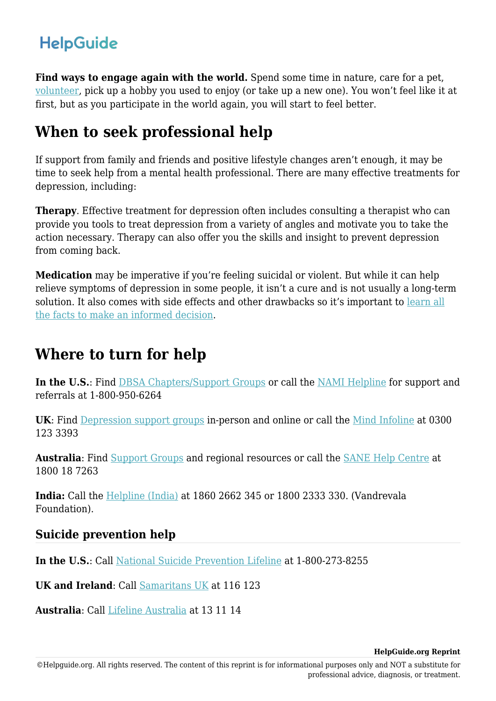Find ways to engage again with the world. Spend some time in nature, care for a pet, [volunteer,](https://www.helpguide.org/articles/healthy-living/volunteering-and-its-surprising-benefits.htm) pick up a hobby you used to enjoy (or take up a new one). You won't feel like it at first, but as you participate in the world again, you will start to feel better.

### **When to seek professional help**

If support from family and friends and positive lifestyle changes aren't enough, it may be time to seek help from a mental health professional. There are many effective treatments for depression, including:

**Therapy**. Effective treatment for depression often includes consulting a therapist who can provide you tools to treat depression from a variety of angles and motivate you to take the action necessary. Therapy can also offer you the skills and insight to prevent depression from coming back.

**Medication** may be imperative if you're feeling suicidal or violent. But while it can help relieve symptoms of depression in some people, it isn't a cure and is not usually a long-term solution. It also comes with side effects and other drawbacks so it's important to [learn all](https://www.helpguide.org/articles/depression/antidepressant-medication.htm) [the facts to make an informed decision.](https://www.helpguide.org/articles/depression/antidepressant-medication.htm)

## **Where to turn for help**

**In the U.S.**: Find [DBSA Chapters/Support Groups](http://www.dbsalliance.org/site/PageServer?pagename=peer_support_group_locator) or call the [NAMI Helpline](http://www.nami.org/Find-Support/NAMI-HelpLine) for support and referrals at 1-800-950-6264

**UK**: Find [Depression support groups](https://www.nhs.uk/conditions/stress-anxiety-depression/depression-help-groups/) in-person and online or call the [Mind Infoline](https://www.mind.org.uk/information-support/helplines/) at 0300 123 3393

**Australia**: Find [Support Groups](https://depressionet.org.au/support-groups/) and regional resources or call the [SANE Help Centre](https://www.sane.org/get-help) at 1800 18 7263

**India:** Call the [Helpline \(India\)](https://www.vandrevalafoundation.com/) at 1860 2662 345 or 1800 2333 330. (Vandrevala Foundation).

#### **Suicide prevention help**

**In the U.S.**: Call [National Suicide Prevention Lifeline](http://www.suicidepreventionlifeline.org/) at 1-800-273-8255

**UK and Ireland**: Call [Samaritans UK](http://www.samaritans.org/) at 116 123

**Australia**: Call [Lifeline Australia](https://www.lifeline.org.au/) at 13 11 14